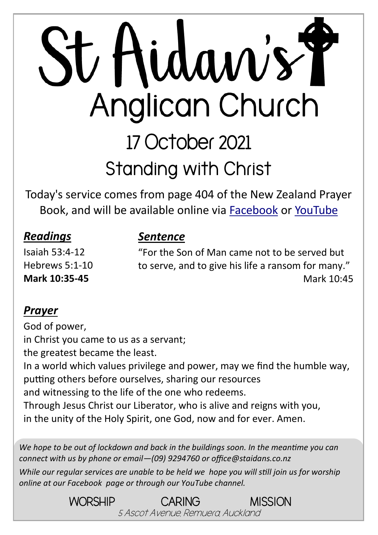# St Aidan's Y Anglican Church 17 October 2021 **Standing with Christ**

Today's service comes from page 404 of the New Zealand Prayer Book, and will be available online via [Facebook](https://www.facebook.com/StAidansRemuera/) or [YouTube](https://www.youtube.com/channel/UCp1KTUD3GRs20GGAFeAZ7fQ)

#### *Readings*

#### *Sentence*

Isaiah 53:4-12 Hebrews 5:1-10 **Mark 10:35-45** 

"For the Son of Man came not to be served but to serve, and to give his life a ransom for many." Mark 10:45

#### *Prayer*

God of power, in Christ you came to us as a servant; the greatest became the least. In a world which values privilege and power, may we find the humble way, putting others before ourselves, sharing our resources and witnessing to the life of the one who redeems. Through Jesus Christ our Liberator, who is alive and reigns with you, in the unity of the Holy Spirit, one God, now and for ever. Amen.

*We hope to be out of lockdown and back in the buildings soon. In the meantime you can connect with us by phone or email—(09) 9294760 or office@staidans.co.nz*

*While our regular services are unable to be held we hope you will still join us for worship online at our Facebook page or through our YouTube channel.*

> WORSHIP CARING MISSION 5 Ascot Avenue, Remuera, Auckland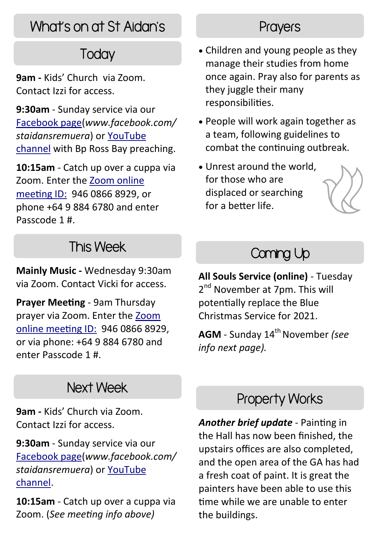## What's on at St Aidan's

# **Today**

**9am -** Kids' Church via Zoom. Contact Izzi for access.

**9:30am** - Sunday service via our [Facebook page\(](https://www.facebook.com/StAidansRemuera/)*www.facebook.com/ staidansremuera*) or [YouTube](https://www.youtube.com/channel/UCp1KTUD3GRs20GGAFeAZ7fQ)  [channel](https://www.youtube.com/channel/UCp1KTUD3GRs20GGAFeAZ7fQ) with Bp Ross Bay preaching.

**10:15am** - Catch up over a cuppa via Zoom. Enter the [Zoom online](https://zoom.us/j/94608668929?pwd=TkZLeU1MY2d5eUpqeTJ5WUJTRHlVUT09)  [meeting ID:](https://zoom.us/j/94608668929?pwd=TkZLeU1MY2d5eUpqeTJ5WUJTRHlVUT09) 946 0866 8929, or phone +64 9 884 6780 and enter Passcode 1 #.

## This Week

**Mainly Music -** Wednesday 9:30am via Zoom. Contact Vicki for access.

**Prayer Meeting** - 9am Thursday prayer via Zoom. Enter the [Zoom](https://zoom.us/j/94608668929?pwd=TkZLeU1MY2d5eUpqeTJ5WUJTRHlVUT09)  [online meeting ID:](https://zoom.us/j/94608668929?pwd=TkZLeU1MY2d5eUpqeTJ5WUJTRHlVUT09) 946 0866 8929, or via phone: +64 9 884 6780 and enter Passcode 1 #.

#### Next Week

**9am -** Kids' Church via Zoom. Contact Izzi for access.

**9:30am** - Sunday service via our [Facebook page\(](https://www.facebook.com/StAidansRemuera/)*www.facebook.com/ staidansremuera*) or [YouTube](https://www.youtube.com/channel/UCp1KTUD3GRs20GGAFeAZ7fQ)  [channel.](https://www.youtube.com/channel/UCp1KTUD3GRs20GGAFeAZ7fQ) 

**10:15am** - Catch up over a cuppa via Zoom. (*See meeting info above)* 

#### **Prayers**

- Children and young people as they manage their studies from home once again. Pray also for parents as they juggle their many responsibilities.
- People will work again together as a team, following guidelines to combat the continuing outbreak.
- Unrest around the world, for those who are displaced or searching for a better life.



## Coming Up

**All Souls Service (online)** - Tuesday 2<sup>nd</sup> November at 7pm. This will potentially replace the Blue Christmas Service for 2021.

**AGM** - Sunday 14th November *(see info next page).*

#### Property Works

*Another brief update* - Painting in the Hall has now been finished, the upstairs offices are also completed, and the open area of the GA has had a fresh coat of paint. It is great the painters have been able to use this time while we are unable to enter the buildings.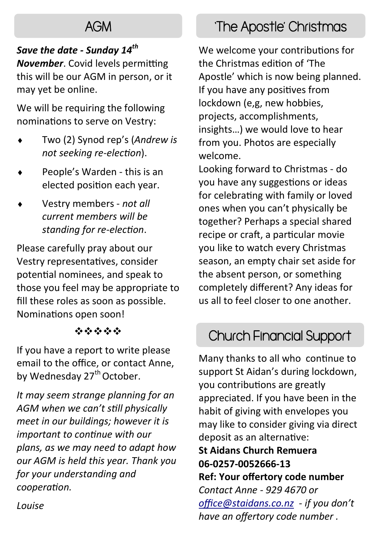## AGM

#### *Save the date - Sunday 14th*

*November*. Covid levels permitting this will be our AGM in person, or it may yet be online.

We will be requiring the following nominations to serve on Vestry:

- Two (2) Synod rep's (*Andrew is not seeking re-election*).
- People's Warden this is an elected position each year.
- Vestry members *not all current members will be standing for re-election*.

Please carefully pray about our Vestry representatives, consider potential nominees, and speak to those you feel may be appropriate to fill these roles as soon as possible. Nominations open soon!

#### ❖❖❖❖❖

If you have a report to write please email to the office, or contact Anne, by Wednesday 27<sup>th</sup> October.

*It may seem strange planning for an AGM when we can't still physically meet in our buildings; however it is important to continue with our plans, as we may need to adapt how our AGM is held this year. Thank you for your understanding and cooperation.* 

# 'The Apostle' Christmas

We welcome your contributions for the Christmas edition of 'The Apostle' which is now being planned. If you have any positives from lockdown (e,g, new hobbies, projects, accomplishments, insights…) we would love to hear from you. Photos are especially welcome.

Looking forward to Christmas - do you have any suggestions or ideas for celebrating with family or loved ones when you can't physically be together? Perhaps a special shared recipe or craft, a particular movie you like to watch every Christmas season, an empty chair set aside for the absent person, or something completely different? Any ideas for us all to feel closer to one another.

## Church Financial Support

Many thanks to all who continue to support St Aidan's during lockdown, you contributions are greatly appreciated. If you have been in the habit of giving with envelopes you may like to consider giving via direct deposit as an alternative: **St Aidans Church Remuera 06-0257-0052666-13** 

**Ref: Your offertory code number**  *Contact Anne - 929 4670 or [office@staidans.co.nz](mailto:office@staidans.co.nz?subject=Offertory%20conntributions) - if you don't have an offertory code number .*

*Louise*